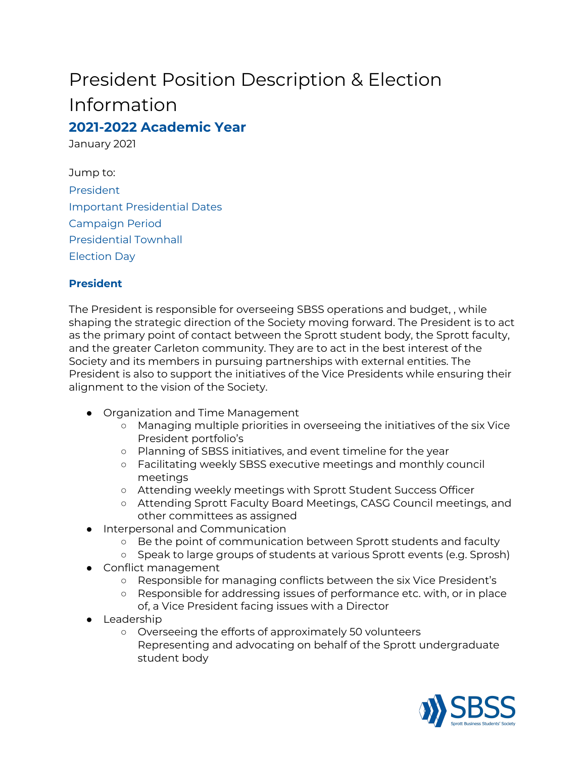# President Position Description & Election Information **2021-2022 Academic Year**

January 2021

Jump to: [President](#page-0-0) Important [Presidential](#page-1-0) Dates [Campaign](#page-1-1) Period [Presidential](#page-1-2) Townhall [Election](#page-1-3) Day

## <span id="page-0-0"></span>**President**

The President is responsible for overseeing SBSS operations and budget, , while shaping the strategic direction of the Society moving forward. The President is to act as the primary point of contact between the Sprott student body, the Sprott faculty, and the greater Carleton community. They are to act in the best interest of the Society and its members in pursuing partnerships with external entities. The President is also to support the initiatives of the Vice Presidents while ensuring their alignment to the vision of the Society.

- Organization and Time Management
	- Managing multiple priorities in overseeing the initiatives of the six Vice President portfolio's
	- Planning of SBSS initiatives, and event timeline for the year
	- Facilitating weekly SBSS executive meetings and monthly council meetings
	- Attending weekly meetings with Sprott Student Success Officer
	- Attending Sprott Faculty Board Meetings, CASG Council meetings, and other committees as assigned
- Interpersonal and Communication
	- Be the point of communication between Sprott students and faculty
	- Speak to large groups of students at various Sprott events (e.g. Sprosh)
- Conflict management
	- Responsible for managing conflicts between the six Vice President's
	- Responsible for addressing issues of performance etc. with, or in place of, a Vice President facing issues with a Director
- Leadership
	- Overseeing the efforts of approximately 50 volunteers Representing and advocating on behalf of the Sprott undergraduate student body